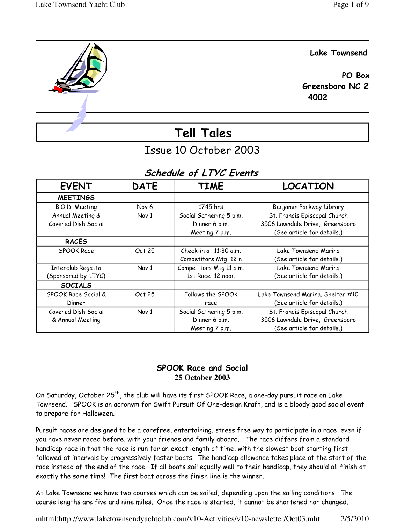

# Issue 10 October 2003

# Schedule of LTYC Events

| <b>EVENT</b>        | <b>DATE</b>      | <b>TIME</b>              | <b>LOCATION</b>                   |
|---------------------|------------------|--------------------------|-----------------------------------|
| <b>MEETINGS</b>     |                  |                          |                                   |
| B.O.D. Meeting      | Nov <sub>6</sub> | 1745 hrs                 | Benjamin Parkway Library          |
| Annual Meeting &    | Nov 1            | Social Gathering 5 p.m.  | St. Francis Episcopal Church      |
| Covered Dish Social |                  | Dinner 6 p.m.            | 3506 Lawndale Drive, Greensboro   |
|                     |                  | Meeting 7 p.m.           | (See article for details.)        |
| <b>RACES</b>        |                  |                          |                                   |
| <b>SPOOK Race</b>   | Oct 25           | Check-in at $11:30$ a.m. | Lake Townsend Marina              |
|                     |                  | Competitors Mtg 12 n     | (See article for details.)        |
| Interclub Regatta   | Nov 1            | Competitors Mtg 11 a.m.  | Lake Townsend Marina              |
| (Sponsored by LTYC) |                  | 1st Race 12 noon         | (See article for details.)        |
| <b>SOCIALS</b>      |                  |                          |                                   |
| SPOOK Race Social & | Oct 25           | Follows the SPOOK        | Lake Townsend Marina, Shelter #10 |
| Dinner              |                  | race                     | (See article for details.)        |
| Covered Dish Social | Nov 1            | Social Gathering 5 p.m.  | St. Francis Episcopal Church      |
| & Annual Meeting    |                  | Dinner 6 p.m.            | 3506 Lawndale Drive, Greensboro   |
|                     |                  | Meeting 7 p.m.           | (See article for details.)        |

## SPOOK Race and Social **25 October 2003**

On Saturday, October 25<sup>th</sup>, the club will have its first SPOOK Race, a one-day pursuit race on Lake Townsend. SPOOK is an acronym for Swift Pursuit Of One-design Kraft, and is a bloody good social event to prepare for Halloween.

Pursuit races are designed to be a carefree, entertaining, stress free way to participate in a race, even if you have never raced before, with your friends and family aboard. The race differs from a standard handicap race in that the race is run for an exact length of time, with the slowest boat starting first followed at intervals by progressively faster boats. The handicap allowance takes place at the start of the race instead of the end of the race. If all boats sail equally well to their handicap, they should all finish at exactly the same time! The first boat across the finish line is the winner.

At Lake Townsend we have two courses which can be sailed, depending upon the sailing conditions. The course lengths are five and nine miles. Once the race is started, it cannot be shortened nor changed.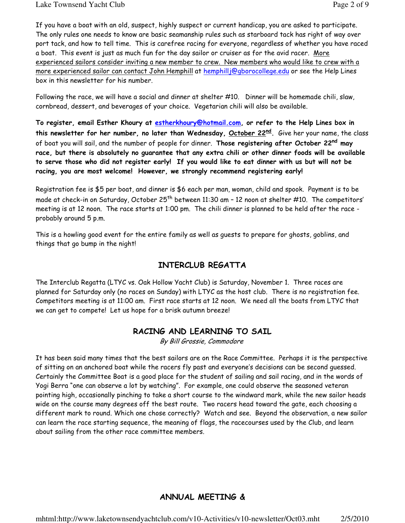If you have a boat with an old, suspect, highly suspect or current handicap, you are asked to participate. The only rules one needs to know are basic seamanship rules such as starboard tack has right of way over port tack, and how to tell time. This is carefree racing for everyone, regardless of whether you have raced a boat. This event is just as much fun for the day sailor or cruiser as for the avid racer. More experienced sailors consider inviting a new member to crew. New members who would like to crew with a more experienced sailor can contact John Hemphill at hemphill @gborocollege.edu or see the Help Lines box in this newsletter for his number.

Following the race, we will have a social and dinner at shelter #10. Dinner will be homemade chili, slaw, cornbread, dessert, and beverages of your choice. Vegetarian chili will also be available.

To register, email Esther Khoury at estherkhoury@hotmail.com, or refer to the Help Lines box in this newsletter for her number, no later than Wednesday, <u>October 22<sup>nd</sup>.</u> Give her your name, the class of boat you will sail, and the number of people for dinner. Those registering after October 22nd may race, but there is absolutely no guarantee that any extra chili or other dinner foods will be available to serve those who did not register early! If you would like to eat dinner with us but will not be racing, you are most welcome! However, we strongly recommend registering early!

Registration fee is \$5 per boat, and dinner is \$6 each per man, woman, child and spook. Payment is to be made at check-in on Saturday, October 25<sup>th</sup> between 11:30 am  $-$  12 noon at shelter #10. The competitors' meeting is at 12 noon. The race starts at 1:00 pm. The chili dinner is planned to be held after the race probably around 5 p.m.

This is a howling good event for the entire family as well as guests to prepare for ghosts, goblins, and things that go bump in the night!

# INTERCLUB REGATTA

The Interclub Regatta (LTYC vs. Oak Hollow Yacht Club) is Saturday, November 1. Three races are planned for Saturday only (no races on Sunday) with LTYC as the host club. There is no registration fee. Competitors meeting is at 11:00 am. First race starts at 12 noon. We need all the boats from LTYC that we can get to compete! Let us hope for a brisk autumn breeze!

# RACING AND LEARNING TO SAIL

By Bill Grossie, Commodore

It has been said many times that the best sailors are on the Race Committee. Perhaps it is the perspective of sitting on an anchored boat while the racers fly past and everyone's decisions can be second guessed. Certainly the Committee Boat is a good place for the student of sailing and sail racing, and in the words of Yogi Berra "one can observe a lot by watching". For example, one could observe the seasoned veteran pointing high, occasionally pinching to take a short course to the windward mark, while the new sailor heads wide on the course many degrees off the best route. Two racers head toward the gate, each choosing a different mark to round. Which one chose correctly? Watch and see. Beyond the observation, a new sailor can learn the race starting sequence, the meaning of flags, the racecourses used by the Club, and learn about sailing from the other race committee members.

# ANNUAL MEETING &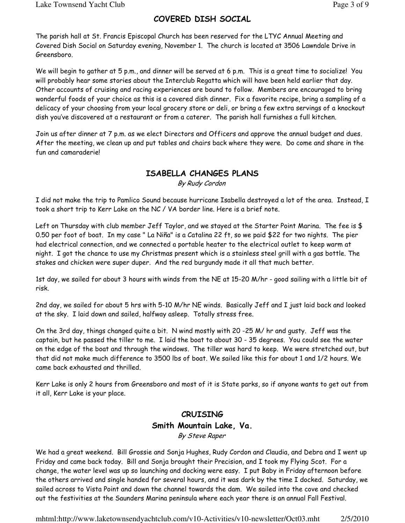The parish hall at St. Francis Episcopal Church has been reserved for the LTYC Annual Meeting and Covered Dish Social on Saturday evening, November 1. The church is located at 3506 Lawndale Drive in Greensboro.

We will begin to gather at 5 p.m., and dinner will be served at 6 p.m. This is a great time to socialize! You will probably hear some stories about the Interclub Regatta which will have been held earlier that day. Other accounts of cruising and racing experiences are bound to follow. Members are encouraged to bring wonderful foods of your choice as this is a covered dish dinner. Fix a favorite recipe, bring a sampling of a delicacy of your choosing from your local grocery store or deli, or bring a few extra servings of a knockout dish you've discovered at a restaurant or from a caterer. The parish hall furnishes a full kitchen.

Join us after dinner at 7 p.m. as we elect Directors and Officers and approve the annual budget and dues. After the meeting, we clean up and put tables and chairs back where they were. Do come and share in the fun and camaraderie!

# ISABELLA CHANGES PLANS

By Rudy Cordon

I did not make the trip to Pamlico Sound because hurricane Isabella destroyed a lot of the area. Instead, I took a short trip to Kerr Lake on the NC / VA border line. Here is a brief note.

Left on Thursday with club member Jeff Taylor, and we stayed at the Starter Point Marina. The fee is \$ 0.50 per foot of boat. In my case " La Niña" is a Catalina 22 ft, so we paid \$22 for two nights. The pier had electrical connection, and we connected a portable heater to the electrical outlet to keep warm at night. I got the chance to use my Christmas present which is a stainless steel grill with a gas bottle. The stakes and chicken were super duper. And the red burgundy made it all that much better.

1st day, we sailed for about 3 hours with winds from the NE at 15-20 M/hr - good sailing with a little bit of risk.

2nd day, we sailed for about 5 hrs with 5-10 M/hr NE winds. Basically Jeff and I just laid back and looked at the sky. I laid down and sailed, halfway asleep. Totally stress free.

On the 3rd day, things changed quite a bit. N wind mostly with 20 -25 M/ hr and gusty. Jeff was the captain, but he passed the tiller to me. I laid the boat to about 30 - 35 degrees. You could see the water on the edge of the boat and through the windows. The tiller was hard to keep. We were stretched out, but that did not make much difference to 3500 lbs of boat. We sailed like this for about 1 and 1/2 hours. We came back exhausted and thrilled.

Kerr Lake is only 2 hours from Greensboro and most of it is State parks, so if anyone wants to get out from it all, Kerr Lake is your place.

# CRUISING Smith Mountain Lake, Va. By Steve Raper

We had a great weekend. Bill Grossie and Sonja Hughes, Rudy Cordon and Claudia, and Debra and I went up Friday and came back today. Bill and Sonja brought their Precision, and I took my Flying Scot. For a change, the water level was up so launching and docking were easy. I put Baby in Friday afternoon before the others arrived and single handed for several hours, and it was dark by the time I docked. Saturday, we sailed across to Vista Point and down the channel towards the dam. We sailed into the cove and checked out the festivities at the Saunders Marina peninsula where each year there is an annual Fall Festival.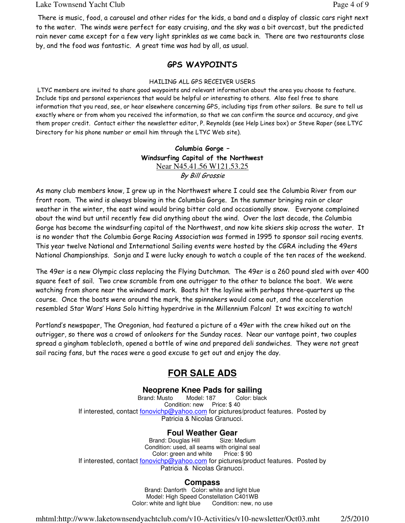#### Lake Townsend Yacht Club **Page 4 of 9** and  $P$  and  $P$  and  $P$  and  $P$  and  $P$  and  $P$  and  $P$  and  $P$  and  $P$  and  $P$  and  $P$  and  $P$  and  $P$  and  $P$  and  $P$  and  $P$  and  $P$  and  $P$  and  $P$  and  $P$  and  $P$  and  $P$  and  $P$

There is music, food, a carousel and other rides for the kids, a band and a display of classic cars right next to the water. The winds were perfect for easy cruising, and the sky was a bit overcast, but the predicted rain never came except for a few very light sprinkles as we came back in. There are two restaurants close by, and the food was fantastic. A great time was had by all, as usual.

## GPS WAYPOINTS

#### HAILING ALL GPS RECEIVER USERS

 LTYC members are invited to share good waypoints and relevant information about the area you choose to feature. Include tips and personal experiences that would be helpful or interesting to others. Also feel free to share information that you read, see, or hear elsewhere concerning GPS, including tips from other sailors. Be sure to tell us exactly where or from whom you received the information, so that we can confirm the source and accuracy, and give them proper credit. Contact either the newsletter editor, P. Reynolds (see Help Lines box) or Steve Raper (see LTYC Directory for his phone number or email him through the LTYC Web site).

### Columbia Gorge – Windsurfing Capital of the Northwest Near N45.41.56 W121.53.25 By Bill Grossie

As many club members know, I grew up in the Northwest where I could see the Columbia River from our front room. The wind is always blowing in the Columbia Gorge. In the summer bringing rain or clear weather in the winter, the east wind would bring bitter cold and occasionally snow. Everyone complained about the wind but until recently few did anything about the wind. Over the last decade, the Columbia Gorge has become the windsurfing capital of the Northwest, and now kite skiers skip across the water. It is no wonder that the Columbia Gorge Racing Association was formed in 1995 to sponsor sail racing events. This year twelve National and International Sailing events were hosted by the CGRA including the 49ers National Championships. Sonja and I were lucky enough to watch a couple of the ten races of the weekend.

The 49er is a new Olympic class replacing the Flying Dutchman. The 49er is a 260 pound sled with over 400 square feet of sail. Two crew scramble from one outrigger to the other to balance the boat. We were watching from shore near the windward mark. Boats hit the layline with perhaps three-quarters up the course. Once the boats were around the mark, the spinnakers would come out, and the acceleration resembled Star Wars' Hans Solo hitting hyperdrive in the Millennium Falcon! It was exciting to watch!

Portland's newspaper, The Oregonian, had featured a picture of a 49er with the crew hiked out on the outrigger, so there was a crowd of onlookers for the Sunday races. Near our vantage point, two couples spread a gingham tablecloth, opened a bottle of wine and prepared deli sandwiches. They were not great sail racing fans, but the races were a good excuse to get out and enjoy the day.

# **FOR SALE ADS**

### **Neoprene Knee Pads for sailing**

Brand: Musto Model: 187 Color: black Condition: new Price: \$40 If interested, contact fonovichp@yahoo.com for pictures/product features. Posted by Patricia & Nicolas Granucci.

## **Foul Weather Gear**

Brand: Douglas Hill Size: Medium Condition: used, all seams with original seal Color: green and white Price: \$90 If interested, contact fonovichp@yahoo.com for pictures/product features. Posted by Patricia & Nicolas Granucci.

### **Compass**

Brand: Danforth Color: white and light blue Model: High Speed Constellation C401WB Color: white and light blue Condition: new, no use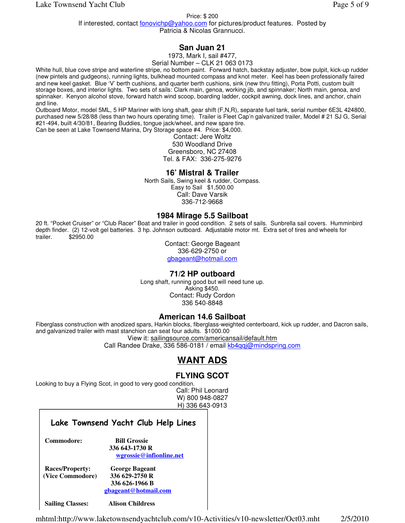Price: \$ 200

If interested, contact <u>fonovichp@yahoo.com</u> for pictures/product features. Posted by Patricia & Nicolas Grannucci.

## **San Juan 21**

1973, Mark I, sail #477,

Serial Number – CLK 21 063 0173

White hull, blue cove stripe and waterline stripe, no bottom paint. Forward hatch, backstay adjuster, bow pulpit, kick-up rudder (new pintels and gudgeons), running lights, bulkhead mounted compass and knot meter. Keel has been professionally faired and new keel gasket. Blue 'V' berth cushions, and quarter berth cushions, sink (new thru fitting), Porta Potti, custom built storage boxes, and interior lights. Two sets of sails: Clark main, genoa, working jib, and spinnaker; North main, genoa, and spinnaker. Kenyon alcohol stove, forward hatch wind scoop, boarding ladder, cockpit awning, dock lines, and anchor, chain and line.

Outboard Motor, model 5ML, 5 HP Mariner with long shaft, gear shift (F,N,R), separate fuel tank, serial number 6E3L 424800, purchased new 5/28/88 (less than two hours operating time). Trailer is Fleet Cap'n galvanized trailer, Model # 21 SJ G, Serial #21-494, built 4/30/81, Bearing Buddies, tongue jack/wheel, and new spare tire. Can be seen at Lake Townsend Marina, Dry Storage space #4. Price: \$4,000.

Contact: Jere Woltz 530 Woodland Drive Greensboro, NC 27408 Tel. & FAX: 336-275-9276

#### **16' Mistral & Trailer**

North Sails, Swing keel & rudder, Compass. Easy to Sail \$1,500.00 Call: Dave Varsik 336-712-9668

#### **1984 Mirage 5.5 Sailboat**

20 ft. "Pocket Cruiser" or "Club Racer" Boat and trailer in good condition. 2 sets of sails. Sunbrella sail covers. Humminbird depth finder. (2) 12-volt gel batteries. 3 hp. Johnson outboard. Adjustable motor mt. Extra set of tires and wheels for trailer. \$2950.00

> Contact: George Bageant 336-629-2750 or gbageant@hotmail.com

#### **71/2 HP outboard**

Long shaft, running good but will need tune up. Asking \$450. Contact: Rudy Cordon 336 540-8848

### **American 14.6 Sailboat**

Fiberglass construction with anodized spars, Harkin blocks, fiberglass-weighted centerboard, kick up rudder, and Dacron sails, and galvanized trailer with mast stanchion can seat four adults. \$1000.00

View it: sailingsource.com/americansail/default.htm

Call Randee Drake, 336 586-0181 / email kb4qqj@mindspring.com

# **WANT ADS**

# **FLYING SCOT**

Looking to buy a Flying Scot, in good to very good condition.

Call: Phil Leonard W) 800 948-0827 H) 336 643-0913

### Lake Townsend Yacht Club Help Lines

 **Commodore: Bill Grossie 336 643-1730 R**

 **wgrossie@infionline.net**

 **Races/Property: George Bageant (Vice Commodore) 336 629-2750 R 336 626-1966 B gbageant@hotmail.com** 

 **Sailing Classes: Alison Childress**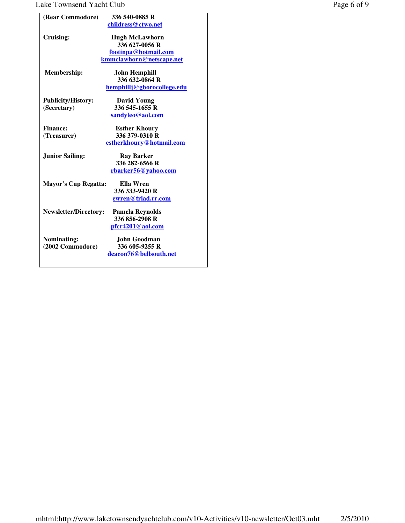## Lake Townsend Yacht Club Page 6 of 9

| (Rear Commodore)                         | 336 540-0885 R<br>childress@ctwo.net                                                             |
|------------------------------------------|--------------------------------------------------------------------------------------------------|
| Cruising:                                | <b>Hugh McLawhorn</b><br>336 627-0056 R<br>footinpa@hotmail.com                                  |
| Membership:                              | kmmclawhorn@netscape.net<br><b>John Hemphill</b><br>336 632-0864 R<br>hemphillj@gborocollege.edu |
| <b>Publicity/History:</b><br>(Secretary) | <b>David Young</b><br>336 545-1655 R<br>sandyleo@aol.com                                         |
| <b>Finance:</b><br>(Treasurer)           | <b>Esther Khoury</b><br>336 379-0310 R<br>estherkhoury@hotmail.com                               |
| <b>Junior Sailing:</b>                   | Ray Barker<br>336 282-6566 R<br>rbarker56@yahoo.com                                              |
| Mayor's Cup Regatta:                     | Ella Wren<br>336 333-9420 R<br>ewren@triad.rr.com                                                |
| <b>Newsletter/Directory:</b>             | <b>Pamela Reynolds</b><br>336 856-2908 R<br>pfcr4201@aol.com                                     |
| Nominating:<br>(2002 Commodore)          | John Goodman<br>336 605-9255 R<br>deacon76@bellsouth.net                                         |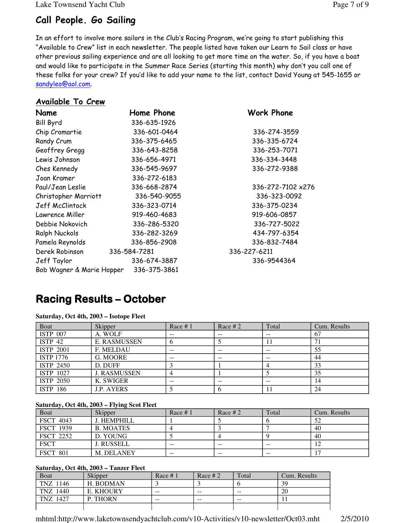Lake Townsend Yacht Club Page 7 of 9

# Call People. Go Sailing

In an effort to involve more sailors in the Club's Racing Program, we're going to start publishing this "Available to Crew" list in each newsletter. The people listed have taken our Learn to Sail class or have other previous sailing experience and are all looking to get more time on the water. So, if you have a boat and would like to participate in the Summer Race Series (starting this month) why don't you call one of these folks for your crew? If you'd like to add your name to the list, contact David Young at 545-1655 or sandyleo@aol.com.

## Available To Crew

| Name                      | Home Phone   | Work Phone        |
|---------------------------|--------------|-------------------|
| <b>Bill Byrd</b>          | 336-635-1926 |                   |
| Chip Cromartie            | 336-601-0464 | 336-274-3559      |
| Randy Crum                | 336-375-6465 | 336-335-6724      |
| Geoffrey Gregg            | 336-643-8258 | 336-253-7071      |
| Lewis Johnson             | 336-656-4971 | 336-334-3448      |
| Ches Kennedy              | 336-545-9697 | 336-272-9388      |
| Joan Kramer               | 336-272-6183 |                   |
| Paul/Jean Leslie          | 336-668-2874 | 336-272-7102 x276 |
| Christopher Marriott      | 336-540-9055 | 336-323-0092      |
| Jeff McClintock           | 336-323-0714 | 336-375-0234      |
| Lawrence Miller           | 919-460-4683 | 919-606-0857      |
| Debbie Nokovich           | 336-286-5320 | 336-727-5022      |
| Ralph Nuckols             | 336-282-3269 | 434-797-6354      |
| Pamela Reynolds           | 336-856-2908 | 336-832-7484      |
| Derek Robinson            | 336-584-7281 | 336-227-6211      |
| Jeff Taylor               | 336-674-3887 | 336-9544364       |
| Bob Wagner & Marie Hopper | 336-375-3861 |                   |

# **Racing Results – October**

| Boat               | Skipper             | Race $# 1$ | Race $#2$ | Total | Cum. Results |
|--------------------|---------------------|------------|-----------|-------|--------------|
| <b>ISTP 007</b>    | A. WOLF             | --         | --        | --    | 67           |
| ISTP <sub>42</sub> | <b>E. RASMUSSEN</b> | O          |           |       |              |
| <b>ISTP 2001</b>   | F. MELDAU           | --         |           |       | 55           |
| <b>ISTP 1776</b>   | G. MOORE            | $-$        | $- -$     | $- -$ | 44           |
| ISTP 2450          | D. DUFF             |            |           |       | 33           |
| ISTP 1027          | <b>J. RASMUSSEN</b> | 4          |           |       | 35           |
| <b>ISTP 2050</b>   | K. SWIGER           | --         | --        | $- -$ | 14           |
| <b>ISTP 186</b>    | <b>J.P. AYERS</b>   |            |           |       | 24           |

**Saturday, Oct 4th, 2003 – Isotope Fleet**

### **Saturday, Oct 4th, 2003 – Flying Scot Fleet**

| <b>Boat</b>      | Skipper           | Race $# 1$ | Race # 2 | Total | Cum. Results |
|------------------|-------------------|------------|----------|-------|--------------|
| <b>FSCT 4043</b> | J. HEMPHILL       |            |          |       |              |
| <b>FSCT 1939</b> | <b>B. MOATES</b>  |            |          |       | 40           |
| <b>FSCT 2252</b> | D. YOUNG          |            |          |       | 40           |
| <b>FSCT</b>      | <b>J. RUSSELL</b> | $- -$      | $- -$    | $- -$ |              |
| <b>FSCT 801</b>  | M. DELANEY        | $- -$      | $- -$    | $- -$ |              |

### **Saturday, Oct 4th, 2003 – Tanzer Fleet**

| $Du$ , $Du$ , $Du$ , $Du$ , $Du$ , $Du$ , $Du$ , $Du$ , $Du$ , $Du$ , $Du$ , $Du$ , $Du$ , $Du$ , $Du$ , $Du$ , $Du$ , $Du$ , $D$ |           |            |          |       |              |  |
|-----------------------------------------------------------------------------------------------------------------------------------|-----------|------------|----------|-------|--------------|--|
| Boat                                                                                                                              | Skipper   | Race $# 1$ | Race # 2 | Total | Cum. Results |  |
| TNZ 1146                                                                                                                          | H. BODMAN |            |          |       | 39           |  |
| TNZ 1440                                                                                                                          | E. KHOURY | $- -$      | $- -$    | $- -$ | 20           |  |
| TNZ 1427                                                                                                                          | P. THORN  | $- -$      | $- -$    | $- -$ |              |  |
|                                                                                                                                   |           |            |          |       |              |  |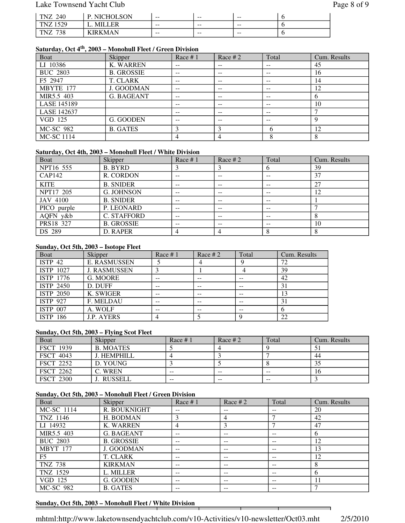## Lake Townsend Yacht Club Page 8 of 9

| 240<br>m<br>∠  | NK<br>H.      | $- -$ | $- -$ | $- -$ |  |
|----------------|---------------|-------|-------|-------|--|
| 520<br>m       |               | $- -$ | $- -$ | $- -$ |  |
| 700<br>m<br>эс | <b>TRKMAN</b> | $- -$ | $- -$ | $- -$ |  |

## **Saturday, Oct 4th, 2003 – Monohull Fleet / Green Division**

| Boat               | Skipper           | Race $#1$         | Race $#2$ | Total                    | Cum. Results |
|--------------------|-------------------|-------------------|-----------|--------------------------|--------------|
| LI 10386           | <b>K. WARREN</b>  | --                | --        | $- -$                    | 45           |
| <b>BUC 2803</b>    | <b>B. GROSSIE</b> | $\qquad \qquad -$ | --        | $\qquad \qquad -$        | 16           |
| F5 2947            | T. CLARK          | $- -$             | --        | $- -$                    | 14           |
| MBYTE 177          | J. GOODMAN        | --                | --        | --                       | 12           |
| MIR5.5 403         | <b>G. BAGEANT</b> | $- -$             | $- -$     | $\overline{\phantom{m}}$ | <sub>0</sub> |
| <b>LASE 145189</b> |                   | $- -$             | --        | $- -$                    | 10           |
| LASE 142637        |                   | --                | --        | --                       |              |
| VGD 125            | G. GOODEN         | --                | $- -$     | $- -$                    | Q            |
| MC-SC 982          | <b>B. GATES</b>   | 3                 |           | 6                        | 12           |
| <b>MC-SC 1114</b>  |                   |                   |           |                          |              |

#### **Saturday, Oct 4th, 2003 – Monohull Fleet / White Division**

| Boat            | Skipper           | Race $# 1$ | Race $#2$         | Total        | Cum. Results |
|-----------------|-------------------|------------|-------------------|--------------|--------------|
| NPT16 555       | <b>B. BYRD</b>    |            |                   | <sub>(</sub> | 39           |
| CAP142          | R. CORDON         | --         | --                | $- -$        | 37           |
| <b>KITE</b>     | <b>B. SNIDER</b>  | $- -$      | $- -$             | $- -$        | 27           |
| NPT17 205       | <b>G. JOHNSON</b> | $- -$      | --                | $- -$        | 12           |
| <b>JAV 4100</b> | <b>B. SNIDER</b>  | --         | $- -$             | $- -$        |              |
| PICO purple     | P. LEONARD        | --         | $\qquad \qquad -$ | $- -$        |              |
| AQFN y&b        | C. STAFFORD       | --         | --                | $- -$        |              |
| PRS18 327       | <b>B. GROSSIE</b> | $- -$      | $\qquad \qquad -$ | $- -$        | 10           |
| DS 289          | D. RAPER          |            |                   | 8            |              |

#### **Sunday, Oct 5th, 2003 – Isotope Fleet**

| Boat               | Skipper             | Race $#1$ | Race # $2$ | Total | Cum. Results |
|--------------------|---------------------|-----------|------------|-------|--------------|
| ISTP <sub>42</sub> | <b>E. RASMUSSEN</b> |           |            | O     | 72           |
| ISTP 1027          | <b>J. RASMUSSEN</b> |           |            |       | 39           |
| <b>ISTP 1776</b>   | G. MOORE            | --        | $- -$      | $- -$ | 42           |
| <b>ISTP 2450</b>   | D. DUFF             | --        | $- -$      | $- -$ | 31           |
| ISTP 2050          | K. SWIGER           |           | $- -$      | --    |              |
| <b>ISTP 927</b>    | <b>F. MELDAU</b>    |           |            |       | 31           |
| <b>ISTP 007</b>    | A. WOLF             |           |            | --    |              |
| <b>ISTP 186</b>    | <b>J.P. AYERS</b>   |           |            |       | 22           |

#### **Sunday, Oct 5th, 2003 – Flying Scot Fleet**

| <b>Boat</b>      | Skipper          | Race # $1$ | Race # 2 | Total | Cum. Results |
|------------------|------------------|------------|----------|-------|--------------|
| <b>FSCT 1939</b> | <b>B. MOATES</b> |            |          |       |              |
| <b>FSCT 4043</b> | J. HEMPHILL      |            |          |       | 44           |
| <b>FSCT 2252</b> | D. YOUNG         |            |          |       |              |
| <b>FSCT 2262</b> | C. WREN          | $- -$      | $- -$    | $- -$ | 16           |
| <b>FSCT 2300</b> | . RUSSELL        | $- -$      | $- -$    | $- -$ |              |

#### **Sunday, Oct 5th, 2003 – Monohull Fleet / Green Division**

| Boat             | Skipper           | Race $# 1$ | Race $#2$ | Total | Cum. Results |
|------------------|-------------------|------------|-----------|-------|--------------|
| MC-SC 1114       | R. BOUKNIGHT      | $- -$      | --        | --    | 20           |
| TNZ 1146         | H. BODMAN         | 3          | 4         |       | 42           |
| LI 14932         | <b>K. WARREN</b>  | 4          |           |       | 47           |
| MIR5.5 403       | G. BAGEANT        |            | --        | --    | 6            |
| <b>BUC 2803</b>  | <b>B. GROSSIE</b> |            | --        | --    | 12           |
| <b>MBYT 177</b>  | J. GOODMAN        | $- -$      | --        | $- -$ | 13           |
| F <sub>5</sub>   | T. CLARK          | $- -$      | $- -$     | $- -$ | 12           |
| <b>TNZ 738</b>   | <b>KIRKMAN</b>    | $- -$      | $- -$     | $- -$ | 8            |
| TNZ 1529         | L. MILLER         | --         | --        | --    | 6            |
| VGD 125          | G. GOODEN         | $- -$      | $- -$     | $- -$ | 11           |
| <b>MC-SC 982</b> | <b>B. GATES</b>   | --         | --        |       |              |

#### **Sunday, Oct 5th, 2003 – Monohull Fleet / White Division**

 $\overline{\phantom{0}}$ 

 $\mathbf{r}$ 

┯